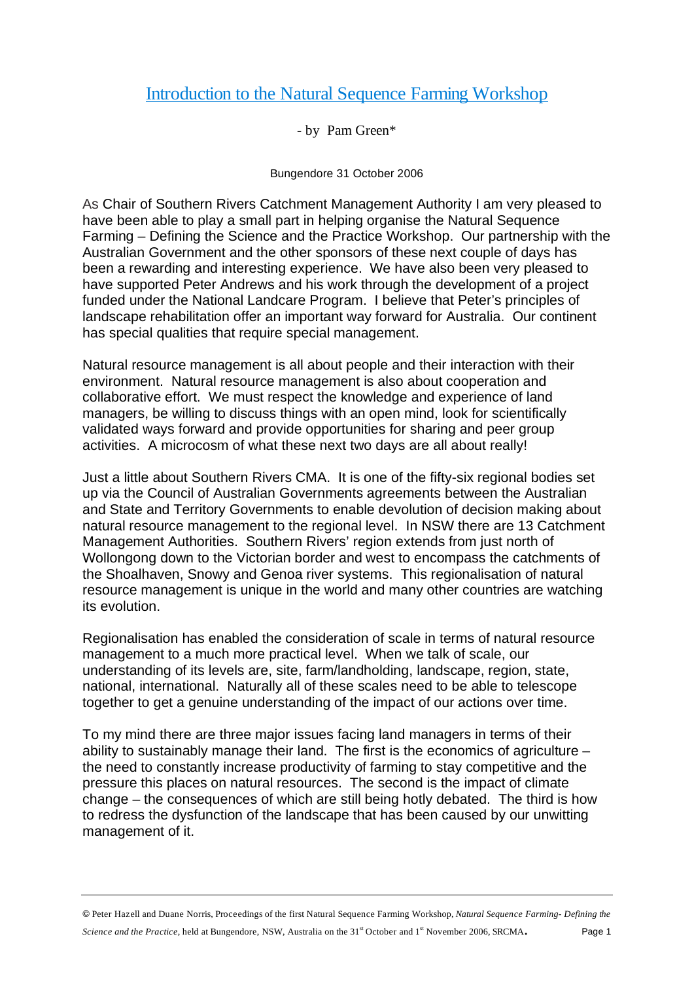## Introduction to the Natural Sequence Farming Workshop

- by Pam Green\*

Bungendore 31 October 2006

As Chair of Southern Rivers Catchment Management Authority I am very pleased to have been able to play a small part in helping organise the Natural Sequence Farming – Defining the Science and the Practice Workshop. Our partnership with the Australian Government and the other sponsors of these next couple of days has been a rewarding and interesting experience. We have also been very pleased to have supported Peter Andrews and his work through the development of a project funded under the National Landcare Program. I believe that Peter's principles of landscape rehabilitation offer an important way forward for Australia. Our continent has special qualities that require special management.

Natural resource management is all about people and their interaction with their environment. Natural resource management is also about cooperation and collaborative effort. We must respect the knowledge and experience of land managers, be willing to discuss things with an open mind, look for scientifically validated ways forward and provide opportunities for sharing and peer group activities. A microcosm of what these next two days are all about really!

Just a little about Southern Rivers CMA. It is one of the fifty-six regional bodies set up via the Council of Australian Governments agreements between the Australian and State and Territory Governments to enable devolution of decision making about natural resource management to the regional level. In NSW there are 13 Catchment Management Authorities. Southern Rivers' region extends from just north of Wollongong down to the Victorian border and west to encompass the catchments of the Shoalhaven, Snowy and Genoa river systems. This regionalisation of natural resource management is unique in the world and many other countries are watching its evolution.

Regionalisation has enabled the consideration of scale in terms of natural resource management to a much more practical level. When we talk of scale, our understanding of its levels are, site, farm/landholding, landscape, region, state, national, international. Naturally all of these scales need to be able to telescope together to get a genuine understanding of the impact of our actions over time.

To my mind there are three major issues facing land managers in terms of their ability to sustainably manage their land. The first is the economics of agriculture – the need to constantly increase productivity of farming to stay competitive and the pressure this places on natural resources. The second is the impact of climate change – the consequences of which are still being hotly debated. The third is how to redress the dysfunction of the landscape that has been caused by our unwitting management of it.

 Peter Hazell and Duane Norris, Proceedings of the first Natural Sequence Farming Workshop, *Natural Sequence Farming- Defining the Science and the Practice, held at Bungendore, NSW, Australia on the 31<sup>st</sup> October and 1<sup>st</sup> November 2006, SRCMA. Page 1*